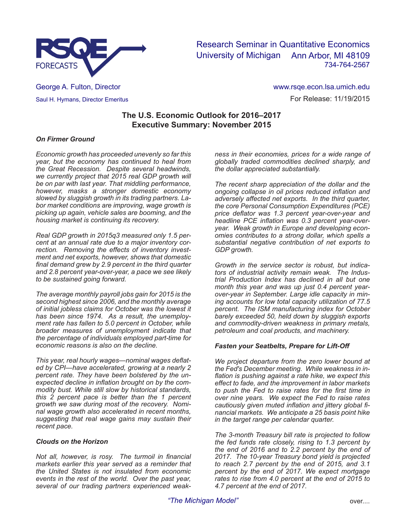

Research Seminar in Quantitative Economics University of Michigan Ann Arbor, MI 48109 734-764-2567

George A. Fulton, Director Saul H. Hymans, Director Emeritus

For Release: 11/19/2015 www.rsqe.econ.lsa.umich.edu

# **The U.S. Economic Outlook for 2016–2017 Executive Summary: November 2015**

# *On Firmer Ground*

*Economic growth has proceeded unevenly so far this year, but the economy has continued to heal from the Great Recession. Despite several headwinds, we currently project that 2015 real GDP growth will be on par with last year. That middling performance, however, masks a stronger domestic economy slowed by sluggish growth in its trading partners. Labor market conditions are improving, wage growth is picking up again, vehicle sales are booming, and the housing market is continuing its recovery.* 

*Real GDP growth in 2015q3 measured only 1.5 percent at an annual rate due to a major inventory correction. Removing the effects of inventory investment and net exports, however, shows that domestic final demand grew by 2.9 percent in the third quarter and 2.8 percent year-over-year, a pace we see likely to be sustained going forward.* 

*The average monthly payroll jobs gain for 2015 is the second highest since 2006, and the monthly average of initial jobless claims for October was the lowest it has been since 1974. As a result, the unemployment rate has fallen to 5.0 percent in October, while broader measures of unemployment indicate that the percentage of individuals employed part-time for economic reasons is also on the decline.* 

*This year, real hourly wages—nominal wages deflated by CPI—have accelerated, growing at a nearly 2 percent rate. They have been bolstered by the unexpected decline in inflation brought on by the commodity bust. While still slow by historical standards, this 2 percent pace is better than the 1 percent growth we saw during most of the recovery. Nominal wage growth also accelerated in recent months, suggesting that real wage gains may sustain their recent pace.* 

## *Clouds on the Horizon*

*Not all, however, is rosy. The turmoil in financial markets earlier this year served as a reminder that the United States is not insulated from economic events in the rest of the world. Over the past year, several of our trading partners experienced weak-* *ness in their economies, prices for a wide range of globally traded commodities declined sharply, and the dollar appreciated substantially.* 

*The recent sharp appreciation of the dollar and the ongoing collapse in oil prices reduced inflation and adversely affected net exports. In the third quarter, the core Personal Consumption Expenditures (PCE) price deflator was 1.3 percent year-over-year and headline PCE inflation was 0.3 percent year-overyear. Weak growth in Europe and developing economies contributes to a strong dollar, which spells a substantial negative contribution of net exports to GDP growth.*

*Growth in the service sector is robust, but indicators of industrial activity remain weak. The Industrial Production Index has declined in all but one month this year and was up just 0.4 percent yearover-year in September. Large idle capacity in mining accounts for low total capacity utilization of 77.5 percent. The ISM manufacturing index for October barely exceeded 50, held down by sluggish exports and commodity-driven weakness in primary metals, petroleum and coal products, and machinery.* 

### *Fasten your Seatbelts, Prepare for Lift-Off*

*We project departure from the zero lower bound at the Fed's December meeting. While weakness in inflation is pushing against a rate hike, we expect this effect to fade, and the improvement in labor markets to push the Fed to raise rates for the first time in over nine years. We expect the Fed to raise rates cautiously given muted inflation and jittery global financial markets. We anticipate a 25 basis point hike in the target range per calendar quarter.* 

*The 3-month Treasury bill rate is projected to follow the fed funds rate closely, rising to 1.3 percent by the end of 2016 and to 2.2 percent by the end of 2017. The 10-year Treasury bond yield is projected to reach 2.7 percent by the end of 2015, and 3.1 percent by the end of 2017. We expect mortgage rates to rise from 4.0 percent at the end of 2015 to 4.7 percent at the end of 2017.*